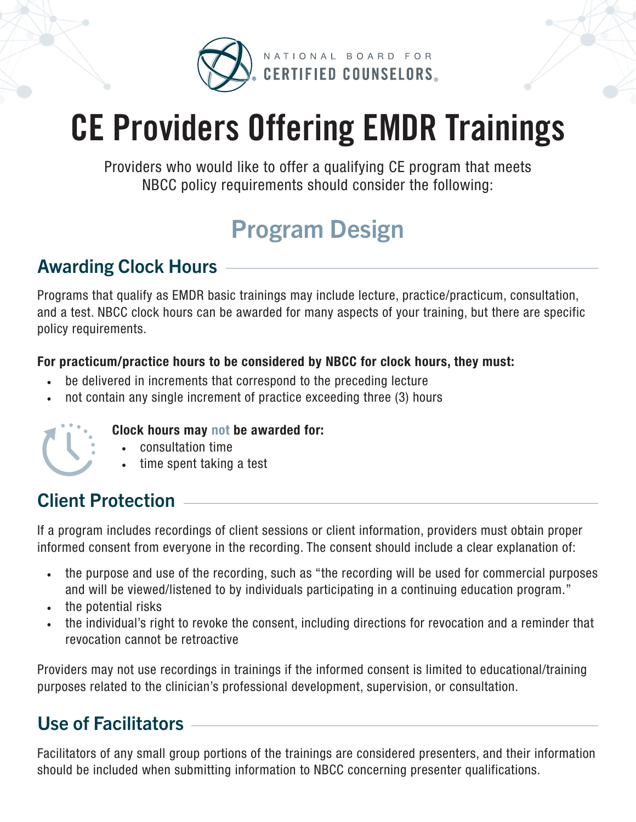

# **CE Providers Offering EMDR Trainings**

Providers who would like to offer a qualifying CE program that meets NBCC policy requirements should consider the following:

# Program Design

#### Awarding Clock Hours

Programs that qualify as EMDR basic trainings may include lecture, practice/practicum, consultation, and a test. NBCC clock hours can be awarded for many aspects of your training, but there are specific policy requirements.

#### For practicum/practice hours to be considered by NBCC for clock hours, they must:

- be delivered in increments that correspond to the preceding lecture
- not contain any single increment of practice exceeding three (3) hours



#### Clock hours may not be awarded for:

- consultation time
- time spent taking a test

### Client Protection

If a program includes recordings of client sessions or client information, providers must obtain proper informed consent from everyone in the recording. The consent should include a clear explanation of:

- the purpose and use of the recording, such as "the recording will be used for commercial purposes and will be viewed/listened to by individuals participating in a continuing education program."
- the potential risks
- the individual's right to revoke the consent, including directions for revocation and a reminder that revocation cannot be retroactive

Providers may not use recordings in trainings if the informed consent is limited to educational/training purposes related to the clinician's professional development, supervision, or consultation.

## Use of Facilitators

Facilitators of any small group portions of the trainings are considered presenters, and their information should be included when submitting information to NBCC concerning presenter qualifications.